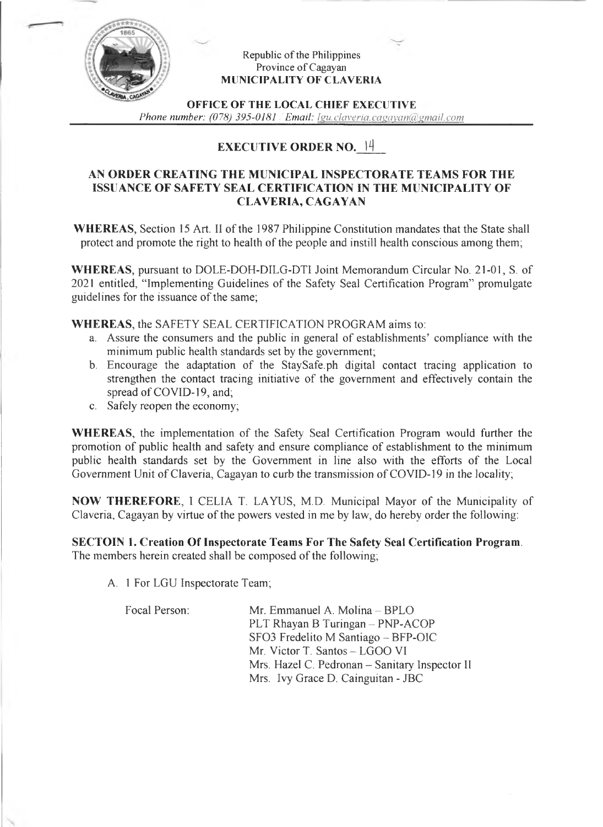

### Republic of the Philippines Province of Cagayan **MUNICIPALITY OF CLAVERIA**

**OFFICE OF THE LOCAL CHIEF EXECUTIVE**

*Phone number:* (078) 395-0181 */ Email: lgu.claveria.cagayan(a)gmail.com* 

# **EXECUTIVE ORDER NO. <sup>1</sup>4**

# **AN ORDER CREATING THE MUNICIPAL INSPECTORATE TEAMS FOR THE ISSUANCE OF SAFETY SEAL CERTIFICATION IN THE MUNICIPALITY OF CLAVERIA, CAGAYAN**

**WHEREAS,** Section 15 Art. II of the 1987 Philippine Constitution mandates that the State shall protect and promote the right to health of the people and instill health conscious among them;

**WHEREAS,** pursuant to DOLE-DOH-DILG-DTI Joint Memorandum Circular No. 21-01, S. of 2021 entitled, "Implementing Guidelines of the Safety Seal Certification Program" promulgate guidelines for the issuance of the same;

**WHEREAS,** the SAFETY SEAL CERTIFICATION PROGRAM aims to:

- a. Assure the consumers and the public in general of establishments' compliance with the minimum public health standards set by the government;
- b. Encourage the adaptation of the StaySafe.ph digital contact tracing application to strengthen the contact tracing initiative of the government and effectively contain the spread of COVID-19, and;
- c. Safely reopen the economy;

**WHEREAS,** the implementation of the Safety Seal Certification Program would further the promotion of public health and safety and ensure compliance of establishment to the minimum public health standards set by the Government in line also with the efforts of the Local Government Unit of Claveria, Cagayan to curb the transmission of COVID-19 in the locality;

**NOW THEREFORE,** I CELIA T. LAYUS, M.D. Municipal Mayor of the Municipality of Claveria, Cagayan by virtue of the powers vested in me by law, do hereby order the following:

**SECTOIN 1. Creation Of Inspectorate Teams For The Safety Seal Certification Program.** The members herein created shall be composed of the following;

A. <sup>1</sup> For LGU Inspectorate Team;

| PLT Rhayan B Turingan - PNP-ACOP               |
|------------------------------------------------|
| SFO3 Fredelito M Santiago – BFP-OIC            |
|                                                |
| Mrs. Hazel C. Pedronan - Sanitary Inspector II |
| Mrs. Ivy Grace D. Cainguitan - JBC             |
|                                                |